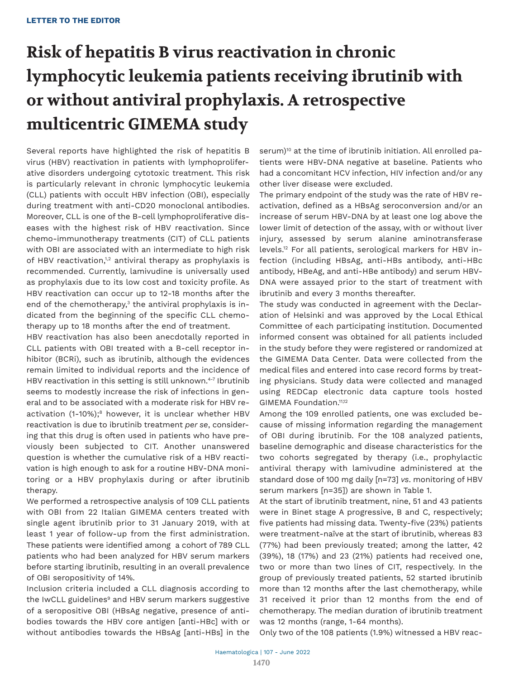# **Risk of hepatitis B virus reactivation in chronic lymphocytic leukemia patients receiving ibrutinib with or without antiviral prophylaxis. A retrospective multicentric GIMEMA study**

Several reports have highlighted the risk of hepatitis B virus (HBV) reactivation in patients with lymphoproliferative disorders undergoing cytotoxic treatment. This risk is particularly relevant in chronic lymphocytic leukemia (CLL) patients with occult HBV infection (OBI), especially during treatment with anti-CD20 monoclonal antibodies. Moreover, CLL is one of the B-cell lymphoproliferative diseases with the highest risk of HBV reactivation. Since chemo-immunotherapy treatments (CIT) of CLL patients with OBI are associated with an intermediate to high risk of HBV reactivation, $1,2$  antiviral therapy as prophylaxis is recommended. Currently, lamivudine is universally used as prophylaxis due to its low cost and toxicity profile. As HBV reactivation can occur up to 12-18 months after the end of the chemotherapy, $3$  the antiviral prophylaxis is indicated from the beginning of the specific CLL chemotherapy up to 18 months after the end of treatment.

HBV reactivation has also been anecdotally reported in CLL patients with OBI treated with a B-cell receptor inhibitor (BCRi), such as ibrutinib, although the evidences remain limited to individual reports and the incidence of HBV reactivation in this setting is still unknown.<sup>4-7</sup> Ibrutinib seems to modestly increase the risk of infections in general and to be associated with a moderate risk for HBV reactivation (1-10%); $8$  however, it is unclear whether HBV reactivation is due to ibrutinib treatment *per se*, considering that this drug is often used in patients who have previously been subjected to CIT. Another unanswered question is whether the cumulative risk of a HBV reactivation is high enough to ask for a routine HBV-DNA monitoring or a HBV prophylaxis during or after ibrutinib therapy.

We performed a retrospective analysis of 109 CLL patients with OBI from 22 Italian GIMEMA centers treated with single agent ibrutinib prior to 31 January 2019, with at least 1 year of follow-up from the first administration. These patients were identified among a cohort of 789 CLL patients who had been analyzed for HBV serum markers before starting ibrutinib, resulting in an overall prevalence of OBI seropositivity of 14%.

Inclusion criteria included a CLL diagnosis according to the IwCLL guidelines<sup>9</sup> and HBV serum markers suggestive of a seropositive OBI (HBsAg negative, presence of antibodies towards the HBV core antigen [anti-HBc] with or without antibodies towards the HBsAg [anti-HBs] in the

serum)<sup>10</sup> at the time of ibrutinib initiation. All enrolled patients were HBV-DNA negative at baseline. Patients who had a concomitant HCV infection, HIV infection and/or any other liver disease were excluded.

The primary endpoint of the study was the rate of HBV reactivation, defined as a HBsAg seroconversion and/or an increase of serum HBV-DNA by at least one log above the lower limit of detection of the assay, with or without liver injury, assessed by serum alanine aminotransferase levels.12 For all patients, serological markers for HBV infection (including HBsAg, anti-HBs antibody, anti-HBc antibody, HBeAg, and anti-HBe antibody) and serum HBV-DNA were assayed prior to the start of treatment with ibrutinib and every 3 months thereafter.

The study was conducted in agreement with the Declaration of Helsinki and was approved by the Local Ethical Committee of each participating institution. Documented informed consent was obtained for all patients included in the study before they were registered or randomized at the GIMEMA Data Center. Data were collected from the medical files and entered into case record forms by treating physicians. Study data were collected and managed using REDCap electronic data capture tools hosted GIMEMA Foundation.<sup>11,12</sup>

Among the 109 enrolled patients, one was excluded because of missing information regarding the management of OBI during ibrutinib. For the 108 analyzed patients, baseline demographic and disease characteristics for the two cohorts segregated by therapy (i.e., prophylactic antiviral therapy with lamivudine administered at the standard dose of 100 mg daily [n=73] *vs*. monitoring of HBV serum markers [n=35]) are shown in Table 1.

At the start of ibrutinib treatment, nine, 51 and 43 patients were in Binet stage A progressive, B and C, respectively; five patients had missing data. Twenty-five (23%) patients were treatment-naïve at the start of ibrutinib, whereas 83 (77%) had been previously treated; among the latter, 42 (39%), 18 (17%) and 23 (21%) patients had received one, two or more than two lines of CIT, respectively. In the group of previously treated patients, 52 started ibrutinib more than 12 months after the last chemotherapy, while 31 received it prior than 12 months from the end of chemotherapy. The median duration of ibrutinib treatment was 12 months (range, 1-64 months).

Only two of the 108 patients (1.9%) witnessed a HBV reac-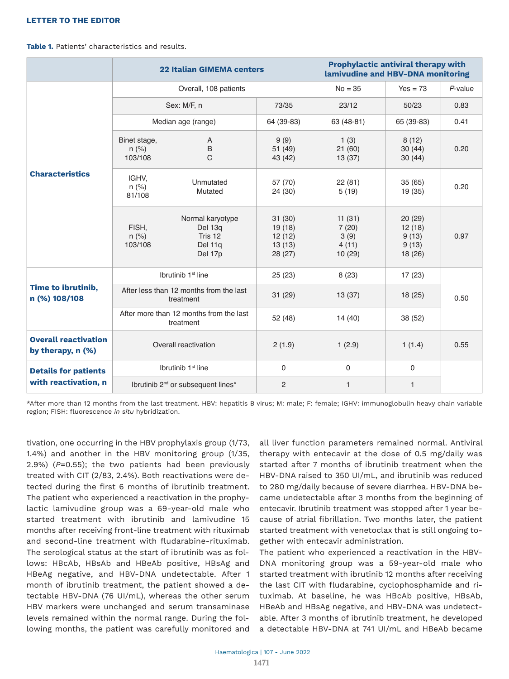## **LETTER TO THE EDITOR**

**Table 1.** Patients' characteristics and results.

|                                                     | <b>22 Italian GIMEMA centers</b>                     |                                                              |                                                | <b>Prophylactic antiviral therapy with</b><br>lamivudine and HBV-DNA monitoring |                                               |            |
|-----------------------------------------------------|------------------------------------------------------|--------------------------------------------------------------|------------------------------------------------|---------------------------------------------------------------------------------|-----------------------------------------------|------------|
| <b>Characteristics</b>                              | Overall, 108 patients                                |                                                              |                                                | $No = 35$                                                                       | $Yes = 73$                                    | $P$ -value |
|                                                     | Sex: M/F, n                                          |                                                              | 73/35                                          | 23/12                                                                           | 50/23                                         | 0.83       |
|                                                     | Median age (range)                                   |                                                              | 64 (39-83)                                     | 63 (48-81)                                                                      | 65 (39-83)                                    | 0.41       |
|                                                     | Binet stage,<br>$n$ (%)<br>103/108                   | A<br>B<br>$\overline{C}$                                     | 9(9)<br>51(49)<br>43 (42)                      | 1(3)<br>21(60)<br>13(37)                                                        | 8(12)<br>30(44)<br>30(44)                     | 0.20       |
|                                                     | IGHV,<br>$n$ (%)<br>81/108                           | Unmutated<br>Mutated                                         | 57 (70)<br>24 (30)                             | 22(81)<br>5(19)                                                                 | 35(65)<br>19 (35)                             | 0.20       |
|                                                     | FISH,<br>$n$ (%)<br>103/108                          | Normal karyotype<br>Del 13q<br>Tris 12<br>Del 11q<br>Del 17p | 31(30)<br>19(18)<br>12(12)<br>13(13)<br>28(27) | 11(31)<br>7(20)<br>3(9)<br>4(11)<br>10(29)                                      | 20(29)<br>12(18)<br>9(13)<br>9(13)<br>18 (26) | 0.97       |
| Time to ibrutinib,<br>n (%) 108/108                 | Ibrutinib 1 <sup>st</sup> line                       |                                                              | 25(23)                                         | 8(23)                                                                           | 17(23)                                        | 0.50       |
|                                                     | After less than 12 months from the last<br>treatment |                                                              | 31(29)                                         | 13(37)                                                                          | 18 (25)                                       |            |
|                                                     | After more than 12 months from the last<br>treatment |                                                              | 52 (48)                                        | 14(40)                                                                          | 38 (52)                                       |            |
| <b>Overall reactivation</b><br>by therapy, n (%)    | Overall reactivation                                 |                                                              | 2(1.9)                                         | 1(2.9)                                                                          | 1(1.4)                                        | 0.55       |
| <b>Details for patients</b><br>with reactivation, n | Ibrutinib 1 <sup>st</sup> line                       |                                                              | $\pmb{0}$                                      | $\pmb{0}$                                                                       | $\pmb{0}$                                     |            |
|                                                     | Ibrutinib 2 <sup>nd</sup> or subsequent lines*       |                                                              | $\overline{c}$                                 | $\mathbf{1}$                                                                    | $\mathbf{1}$                                  |            |

\*After more than 12 months from the last treatment. HBV: hepatitis B virus; M: male; F: female; IGHV: immunoglobulin heavy chain variable region; FISH: fluorescence *in situ* hybridization.

tivation, one occurring in the HBV prophylaxis group (1/73, 1.4%) and another in the HBV monitoring group (1/35, 2.9%) (*P*=0.55); the two patients had been previously treated with CIT (2/83, 2.4%). Both reactivations were detected during the first 6 months of ibrutinib treatment. The patient who experienced a reactivation in the prophylactic lamivudine group was a 69-year-old male who started treatment with ibrutinib and lamivudine 15 months after receiving front-line treatment with rituximab and second-line treatment with fludarabine-rituximab. The serological status at the start of ibrutinib was as follows: HBcAb, HBsAb and HBeAb positive, HBsAg and HBeAg negative, and HBV-DNA undetectable. After 1 month of ibrutinib treatment, the patient showed a detectable HBV-DNA (76 UI/mL), whereas the other serum HBV markers were unchanged and serum transaminase levels remained within the normal range. During the following months, the patient was carefully monitored and

all liver function parameters remained normal. Antiviral therapy with entecavir at the dose of 0.5 mg/daily was started after 7 months of ibrutinib treatment when the HBV-DNA raised to 350 UI/mL, and ibrutinib was reduced to 280 mg/daily because of severe diarrhea. HBV-DNA became undetectable after 3 months from the beginning of entecavir. Ibrutinib treatment was stopped after 1 year because of atrial fibrillation. Two months later, the patient started treatment with venetoclax that is still ongoing together with entecavir administration.

The patient who experienced a reactivation in the HBV-DNA monitoring group was a 59-year-old male who started treatment with ibrutinib 12 months after receiving the last CIT with fludarabine, cyclophosphamide and rituximab. At baseline, he was HBcAb positive, HBsAb, HBeAb and HBsAg negative, and HBV-DNA was undetectable. After 3 months of ibrutinib treatment, he developed a detectable HBV-DNA at 741 UI/mL and HBeAb became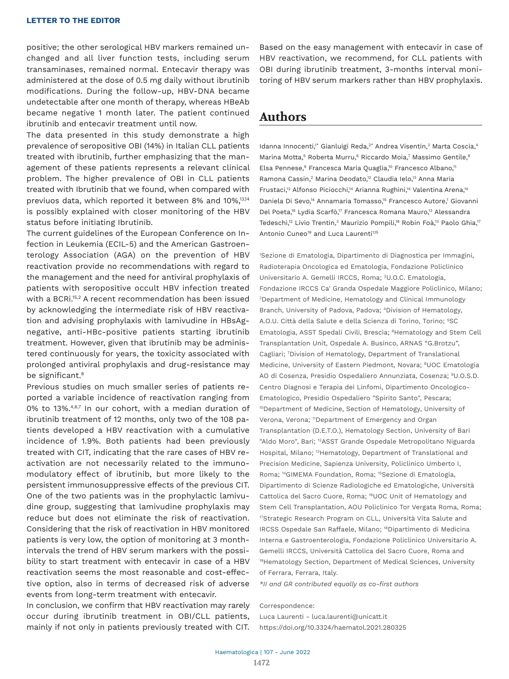positive; the other serological HBV markers remained unchanged and all liver function tests, including serum transaminases, remained normal. Entecavir therapy was administered at the dose of 0.5 mg daily without ibrutinib modifications. During the follow-up, HBV-DNA became undetectable after one month of therapy, whereas HBeAb became negative 1 month later. The patient continued ibrutinib and entecavir treatment until now.

The data presented in this study demonstrate a high prevalence of seropositive OBI (14%) in Italian CLL patients treated with ibrutinib, further emphasizing that the management of these patients represents a relevant clinical problem. The higher prevalence of OBI in CLL patients treated with Ibrutinib that we found, when compared with previuos data, which reported it between 8% and 10%,13,14 is possibly explained with closer monitoring of the HBV status before initiating Ibrutinib.

The current guidelines of the European Conference on Infection in Leukemia (ECIL-5) and the American Gastroenterology Association (AGA) on the prevention of HBV reactivation provide no recommendations with regard to the management and the need for antiviral prophylaxis of patients with seropositive occult HBV infection treated with a BCRi.<sup>15,2</sup> A recent recommendation has been issued by acknowledging the intermediate risk of HBV reactivation and advising prophylaxis with lamivudine in HBsAgnegative, anti-HBc-positive patients starting ibrutinib treatment. However, given that ibrutinib may be administered continuously for years, the toxicity associated with prolonged antiviral prophylaxis and drug-resistance may be significant.<sup>8</sup>

Previous studies on much smaller series of patients reported a variable incidence of reactivation ranging from 0% to 13%.<sup>4,6,7</sup> In our cohort, with a median duration of ibrutinib treatment of 12 months, only two of the 108 patients developed a HBV reactivation with a cumulative incidence of 1.9%. Both patients had been previously treated with CIT, indicating that the rare cases of HBV reactivation are not necessarily related to the immunomodulatory effect of ibrutinib, but more likely to the persistent immunosuppressive effects of the previous CIT. One of the two patients was in the prophylactic lamivudine group, suggesting that lamivudine prophylaxis may reduce but does not eliminate the risk of reactivation. Considering that the risk of reactivation in HBV monitored patients is very low, the option of monitoring at 3 monthintervals the trend of HBV serum markers with the possibility to start treatment with entecavir in case of a HBV reactivation seems the most reasonable and cost-effective option, also in terms of decreased risk of adverse events from long-term treatment with entecavir.

In conclusion, we confirm that HBV reactivation may rarely occur during ibrutinib treatment in OBI/CLL patients, mainly if not only in patients previously treated with CIT.

Based on the easy management with entecavir in case of HBV reactivation, we recommend, for CLL patients with OBI during ibrutinib treatment, 3-months interval monitoring of HBV serum markers rather than HBV prophylaxis.

# **Authors**

Idanna Innocenti,<sup>\*</sup> Gianluigi Reda,<sup>2\*</sup> Andrea Visentin,<sup>3</sup> Marta Coscia,<sup>4</sup> Marina Motta,<sup>5</sup> Roberta Murru,<sup>6</sup> Riccardo Moia,<sup>7</sup> Massimo Gentile,<sup>8</sup> Elsa Pennese,<sup>9</sup> Francesca Maria Quaglia,<sup>10</sup> Francesco Albano,<sup>11</sup> Ramona Cassin,<sup>2</sup> Marina Deodato,<sup>12</sup> Claudia Ielo,<sup>13</sup> Anna Maria Frustaci,<sup>12</sup> Alfonso Piciocchi,<sup>14</sup> Arianna Rughini,<sup>14</sup> Valentina Arena,<sup>14</sup> Daniela Di Sevo,<sup>14</sup> Annamaria Tomasso,<sup>15</sup> Francesco Autore,<sup>1</sup> Giovanni Del Poeta,<sup>16</sup> Lydia Scarfò,<sup>17</sup> Francesca Romana Mauro,<sup>13</sup> Alessandra Tedeschi,<sup>12</sup> Livio Trentin,<sup>3</sup> Maurizio Pompili,<sup>18</sup> Robin Foà,<sup>13</sup> Paolo Ghia,<sup>17</sup> Antonio Cuneo<sup>19</sup> and Luca Laurenti<sup>1,15</sup>

1 Sezione di Ematologia, Dipartimento di Diagnostica per Immagini, Radioterapia Oncologica ed Ematologia, Fondazione Policlinico Universitario A. Gemelli IRCCS, Roma; 2U.O.C. Ematologia, Fondazione IRCCS Ca' Granda Ospedale Maggiore Policlinico, Milano; 3Department of Medicine, Hematology and Clinical Immunology Branch, University of Padova, Padova; 4Division of Hematology, A.O.U. Città della Salute e della Scienza di Torino, Torino; <sup>5</sup>SC Ematologia, ASST Spedali Civili, Brescia; 6Hematology and Stem Cell Transplantation Unit, Ospedale A. Businco, ARNAS "G.Brotzu", Cagliari; 7 Division of Hematology, Department of Translational Medicine, University of Eastern Piedmont, Novara; 8UOC Ematologia AO di Cosenza, Presidio Ospedaliero Annunziata, Cosenza; 9U.O.S.D. Centro Diagnosi e Terapia dei Linfomi, Dipartimento Oncologico-Ematologico, Presidio Ospedaliero "Spirito Santo", Pescara; 10Department of Medicine, Section of Hematology, University of Verona, Verona; <sup>11</sup>Department of Emergency and Organ Transplantation (D.E.T.O.), Hematology Section, University of Bari "Aldo Moro", Bari; 12ASST Grande Ospedale Metropolitano Niguarda Hospital, Milano; <sup>13</sup>Hematology, Department of Translational and Precision Medicine, Sapienza University, Policlinico Umberto I, Roma; 14GIMEMA Foundation, Roma; 15Sezione di Ematologia, Dipartimento di Scienze Radiologiche ed Ematologiche, Università Cattolica del Sacro Cuore, Roma; 16UOC Unit of Hematology and Stem Cell Transplantation, AOU Policlinico Tor Vergata Roma, Roma; <sup>17</sup>Strategic Research Program on CLL, Università Vita Salute and IRCSS Ospedale San Raffaele, Milano; 18Dipartimento di Medicina Interna e Gastroenterologia, Fondazione Policlinico Universitario A. Gemelli IRCCS, Università Cattolica del Sacro Cuore, Roma and 19Hematology Section, Department of Medical Sciences, University of Ferrara, Ferrara, Italy.

*\*II and GR contributed equally as co-first authors*

#### Correspondence:

Luca Laurenti - luca.laurenti@unicatt.it https://doi.org/10.3324/haematol.2021.280325